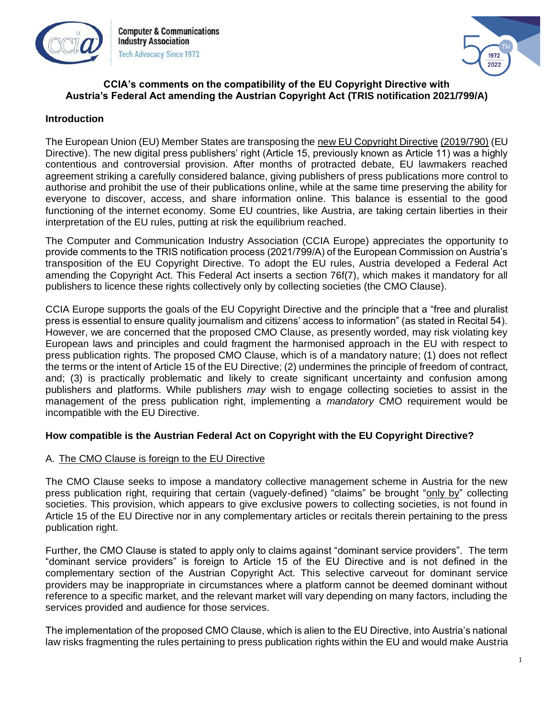

**Computer & Communications Industry Association Tech Advocacy Since 1972** 



#### **CCIA's comments on the compatibility of the EU Copyright Directive with Austria's Federal Act amending the Austrian Copyright Act (TRIS notification 2021/799/A)**

### **Introduction**

The European Union (EU) Member States are transposing the [new EU Copyright Directive](https://eur-lex.europa.eu/eli/dir/2019/790/oj) [\(2019/790\)](https://eur-lex.europa.eu/eli/dir/2019/790/oj) (EU Directive). The new digital press publishers' right (Article 15, previously known as Article 11) was a highly contentious and controversial provision. After months of protracted debate, EU lawmakers reached agreement striking a carefully considered balance, giving publishers of press publications more control to authorise and prohibit the use of their publications online, while at the same time preserving the ability for everyone to discover, access, and share information online. This balance is essential to the good functioning of the internet economy. Some EU countries, like Austria, are taking certain liberties in their interpretation of the EU rules, putting at risk the equilibrium reached.

The Computer and Communication Industry Association (CCIA Europe) appreciates the opportunity to provide comments to the TRIS notification process (2021/799/A) of the European Commission on Austria's transposition of the EU Copyright Directive. To adopt the EU rules, Austria developed a Federal Act amending the Copyright Act. This Federal Act inserts a section 76f(7), which makes it mandatory for all publishers to licence these rights collectively only by collecting societies (the CMO Clause).

CCIA Europe supports the goals of the EU Copyright Directive and the principle that a "free and pluralist press is essential to ensure quality journalism and citizens' access to information" (as stated in Recital 54). However, we are concerned that the proposed CMO Clause, as presently worded, may risk violating key European laws and principles and could fragment the harmonised approach in the EU with respect to press publication rights. The proposed CMO Clause, which is of a mandatory nature; (1) does not reflect the terms or the intent of Article 15 of the EU Directive; (2) undermines the principle of freedom of contract, and; (3) is practically problematic and likely to create significant uncertainty and confusion among publishers and platforms. While publishers *may* wish to engage collecting societies to assist in the management of the press publication right, implementing a *mandatory* CMO requirement would be incompatible with the EU Directive.

# **How compatible is the Austrian Federal Act on Copyright with the EU Copyright Directive?**

# A. The CMO Clause is foreign to the EU Directive

The CMO Clause seeks to impose a mandatory collective management scheme in Austria for the new press publication right, requiring that certain (vaguely-defined) "claims" be brought "only by" collecting societies. This provision, which appears to give exclusive powers to collecting societies, is not found in Article 15 of the EU Directive nor in any complementary articles or recitals therein pertaining to the press publication right.

Further, the CMO Clause is stated to apply only to claims against "dominant service providers". The term "dominant service providers" is foreign to Article 15 of the EU Directive and is not defined in the complementary section of the Austrian Copyright Act. This selective carveout for dominant service providers may be inappropriate in circumstances where a platform cannot be deemed dominant without reference to a specific market, and the relevant market will vary depending on many factors, including the services provided and audience for those services.

The implementation of the proposed CMO Clause, which is alien to the EU Directive, into Austria's national law risks fragmenting the rules pertaining to press publication rights within the EU and would make Austria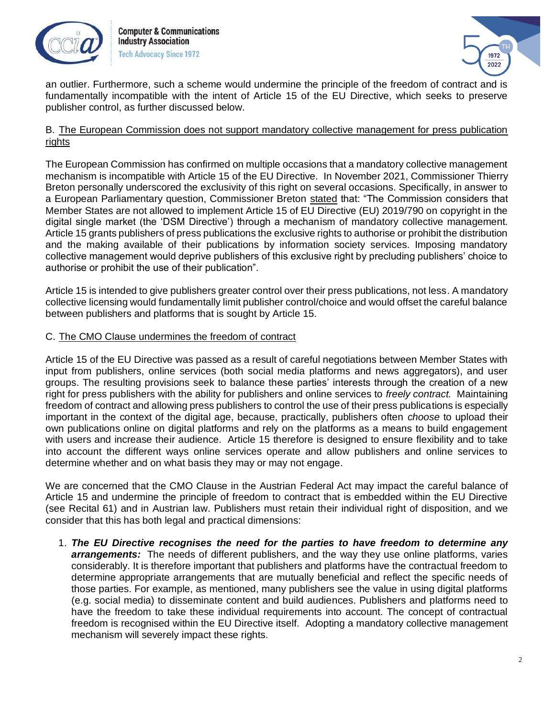



an outlier. Furthermore, such a scheme would undermine the principle of the freedom of contract and is fundamentally incompatible with the intent of Article 15 of the EU Directive, which seeks to preserve publisher control, as further discussed below.

#### B. The European Commission does not support mandatory collective management for press publication rights

The European Commission has confirmed on multiple occasions that a mandatory collective management mechanism is incompatible with Article 15 of the EU Directive. In November 2021, Commissioner Thierry Breton personally underscored the exclusivity of this right on several occasions. Specifically, in answer to a European Parliamentary question, Commissioner Breton [stated](https://www.europarl.europa.eu/doceo/document/E-9-2020-004603-ASW_EN.html) that: "The Commission considers that Member States are not allowed to implement Article 15 of EU Directive (EU) 2019/790 on copyright in the digital single market (the 'DSM Directive') through a mechanism of mandatory collective management. Article 15 grants publishers of press publications the exclusive rights to authorise or prohibit the distribution and the making available of their publications by information society services. Imposing mandatory collective management would deprive publishers of this exclusive right by precluding publishers' choice to authorise or prohibit the use of their publication".

Article 15 is intended to give publishers greater control over their press publications, not less. A mandatory collective licensing would fundamentally limit publisher control/choice and would offset the careful balance between publishers and platforms that is sought by Article 15.

### C. The CMO Clause undermines the freedom of contract

Article 15 of the EU Directive was passed as a result of careful negotiations between Member States with input from publishers, online services (both social media platforms and news aggregators), and user groups. The resulting provisions seek to balance these parties' interests through the creation of a new right for press publishers with the ability for publishers and online services to *freely contract.* Maintaining freedom of contract and allowing press publishers to control the use of their press publications is especially important in the context of the digital age, because, practically, publishers often *choose* to upload their own publications online on digital platforms and rely on the platforms as a means to build engagement with users and increase their audience. Article 15 therefore is designed to ensure flexibility and to take into account the different ways online services operate and allow publishers and online services to determine whether and on what basis they may or may not engage.

We are concerned that the CMO Clause in the Austrian Federal Act may impact the careful balance of Article 15 and undermine the principle of freedom to contract that is embedded within the EU Directive (see Recital 61) and in Austrian law. Publishers must retain their individual right of disposition, and we consider that this has both legal and practical dimensions:

1. *The EU Directive recognises the need for the parties to have freedom to determine any arrangements:* The needs of different publishers, and the way they use online platforms, varies considerably. It is therefore important that publishers and platforms have the contractual freedom to determine appropriate arrangements that are mutually beneficial and reflect the specific needs of those parties. For example, as mentioned, many publishers see the value in using digital platforms (e.g. social media) to disseminate content and build audiences. Publishers and platforms need to have the freedom to take these individual requirements into account. The concept of contractual freedom is recognised within the EU Directive itself. Adopting a mandatory collective management mechanism will severely impact these rights.